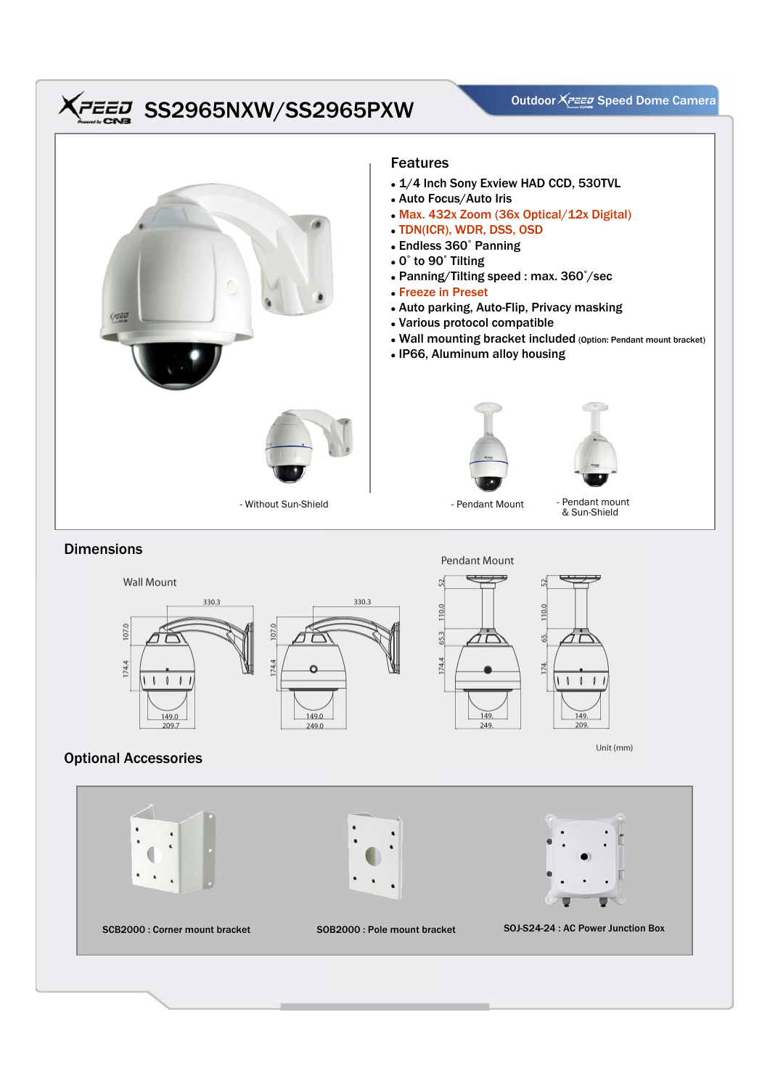# **CED** SS2965NXW/SS2965PXW<br>SSR SS2965NXW/SS2965PXW



## **Dimensions**



# Optional Accessories

107.0

174.4

**Wall Mount** 

 $\sqrt{2}$  $\sqrt{2}$ 

149.0

209.7



### Features

- 1/4 Inch Sony Exview HAD CCD, 530TVL
- Auto Focus/Auto Iris
- Max. 432x Zoom (36x Optical/12x Digital)
- <sup>z</sup> TDN(ICR), WDR, DSS, OSD
- Endless 360° Panning
- 0° to 90° Tilting
- Panning/Tilting speed : max. 360°/sec
- <sup>z</sup> Freeze in Preset
- Auto parking, Auto-Flip, Privacy masking
- Various protocol compatible
- Wall mounting bracket included (Option: Pendant mount bracket)
- IP66, Aluminum alloy housing





& Sun-Shield

#### Pendant Mount





Unit (mm)